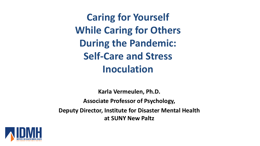**Caring for Yourself While Caring for Others During the Pandemic: Self-Care and Stress Inoculation**

**Karla Vermeulen, Ph.D. Associate Professor of Psychology, Deputy Director, Institute for Disaster Mental Health at SUNY New Paltz**

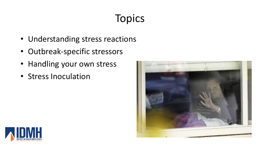# Topics

- Understanding stress reactions
- Outbreak-specific stressors
- Handling your own stress
- Stress Inoculation



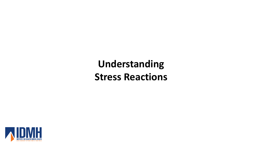# **Understanding Stress Reactions**

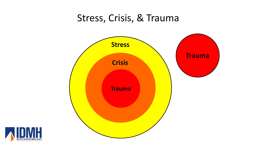#### Stress, Crisis, & Trauma



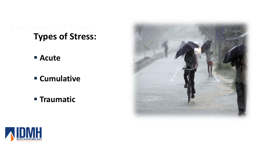# **Types of Stress:**

- **Acute**
- **Cumulative**
- **Traumatic**



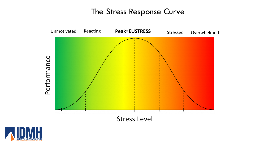#### The Stress Response Curve



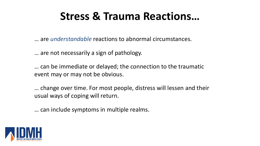# **Stress & Trauma Reactions…**

… are *understandable* reactions to abnormal circumstances.

… are not necessarily a sign of pathology.

… can be immediate or delayed; the connection to the traumatic event may or may not be obvious.

… change over time. For most people, distress will lessen and their usual ways of coping will return.

… can include symptoms in multiple realms.

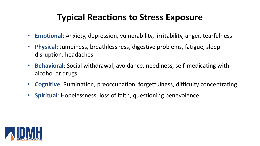#### **Typical Reactions to Stress Exposure**

- **Emotional**: Anxiety, depression, vulnerability, irritability, anger, tearfulness
- **Physical**: Jumpiness, breathlessness, digestive problems, fatigue, sleep disruption, headaches
- **Behavioral**: Social withdrawal, avoidance, neediness, self-medicating with alcohol or drugs
- **Cognitive**: Rumination, preoccupation, forgetfulness, difficulty concentrating
- **Spiritual**: Hopelessness, loss of faith, questioning benevolence

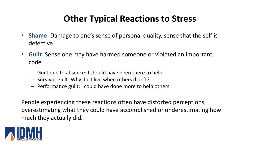#### **Other Typical Reactions to Stress**

- **Shame**: Damage to one's sense of personal quality, sense that the self is defective
- **Guilt**: Sense one may have harmed someone or violated an important code
	- Guilt due to absence: I should have been there to help
	- Survivor guilt: Why did I live when others didn't?
	- Performance guilt: I could have done more to help others

People experiencing these reactions often have distorted perceptions, overestimating what they could have accomplished or underestimating how much they actually did.

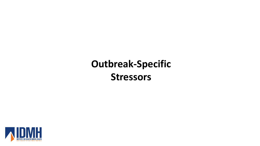# **Outbreak-Specific Stressors**

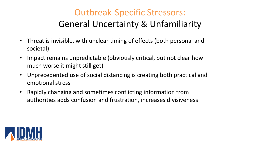### Outbreak-Specific Stressors: General Uncertainty & Unfamiliarity

- Threat is invisible, with unclear timing of effects (both personal and societal)
- Impact remains unpredictable (obviously critical, but not clear how much worse it might still get)
- Unprecedented use of social distancing is creating both practical and emotional stress
- Rapidly changing and sometimes conflicting information from authorities adds confusion and frustration, increases divisiveness

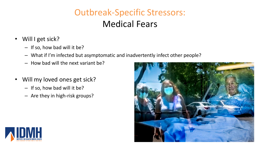### Outbreak-Specific Stressors: Medical Fears

- Will I get sick?
	- If so, how bad will it be?
	- What if I'm infected but asymptomatic and inadvertently infect other people?
	- How bad will the next variant be?
- Will my loved ones get sick?
	- If so, how bad will it be?
	- Are they in high-risk groups?



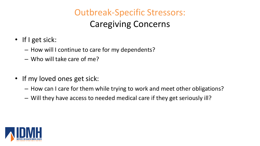# Outbreak-Specific Stressors: Caregiving Concerns

- If I get sick:
	- How will I continue to care for my dependents?
	- Who will take care of me?
- If my loved ones get sick:
	- How can I care for them while trying to work and meet other obligations?
	- Will they have access to needed medical care if they get seriously ill?

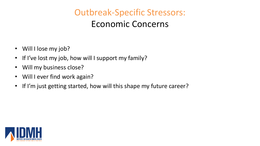### Outbreak-Specific Stressors: Economic Concerns

- Will I lose my job?
- If I've lost my job, how will I support my family?
- Will my business close?
- Will I ever find work again?
- If I'm just getting started, how will this shape my future career?

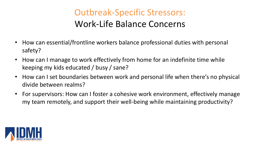### Outbreak-Specific Stressors: Work-Life Balance Concerns

- How can essential/frontline workers balance professional duties with personal safety?
- How can I manage to work effectively from home for an indefinite time while keeping my kids educated / busy / sane?
- How can I set boundaries between work and personal life when there's no physical divide between realms?
- For supervisors: How can I foster a cohesive work environment, effectively manage my team remotely, and support their well-being while maintaining productivity?

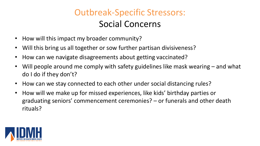### Outbreak-Specific Stressors: Social Concerns

- How will this impact my broader community?
- Will this bring us all together or sow further partisan divisiveness?
- How can we navigate disagreements about getting vaccinated?
- Will people around me comply with safety guidelines like mask wearing and what do I do if they don't?
- How can we stay connected to each other under social distancing rules?
- How will we make up for missed experiences, like kids' birthday parties or graduating seniors' commencement ceremonies? – or funerals and other death rituals?

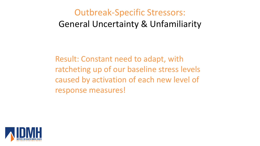### Outbreak-Specific Stressors: General Uncertainty & Unfamiliarity

Result: Constant need to adapt, with ratcheting up of our baseline stress levels caused by activation of each new level of response measures!

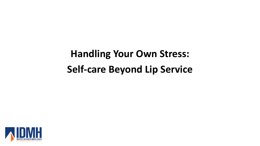# **Handling Your Own Stress: Self-care Beyond Lip Service**

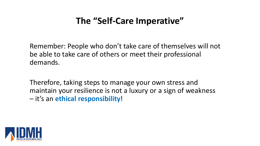#### **The "Self-Care Imperative"**

Remember: People who don't take care of themselves will not be able to take care of others or meet their professional demands.

Therefore, taking steps to manage your own stress and maintain your resilience is not a luxury or a sign of weakness – it's an **ethical responsibility**!

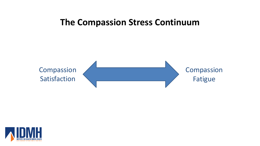#### **The Compassion Stress Continuum**



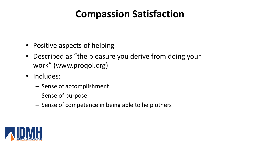# **Compassion Satisfaction**

- Positive aspects of helping
- Described as "the pleasure you derive from doing your work" (www.proqol.org)
- Includes:
	- Sense of accomplishment
	- Sense of purpose
	- Sense of competence in being able to help others

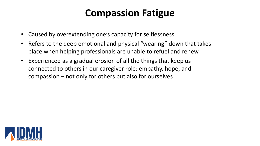## **Compassion Fatigue**

- Caused by overextending one's capacity for selflessness
- Refers to the deep emotional and physical "wearing" down that takes place when helping professionals are unable to refuel and renew
- Experienced as a gradual erosion of all the things that keep us connected to others in our caregiver role: empathy, hope, and compassion – not only for others but also for ourselves

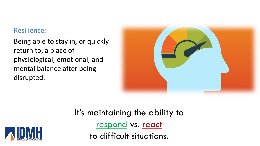#### Resilience:

Being able to stay in, or quickly return to, a place of physiological, emotional, and mental balance after being disrupted.



It's maintaining the ability to respond vs. react to difficult situations.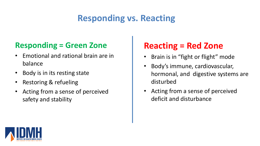### **Responding vs. Reacting**

#### **Responding = Green Zone**

- Emotional and rational brain are in balance
- Body is in its resting state
- Restoring & refueling
- Acting from a sense of perceived safety and stability

#### **Reacting = Red Zone**

- Brain is in "fight or flight" mode
- Body's immune, cardiovascular, hormonal, and digestive systems are disturbed
- Acting from a sense of perceived deficit and disturbance

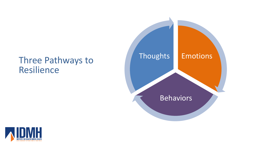# Three Pathways to **Thoughts** Resilience



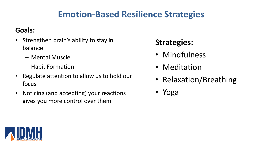#### **Emotion-Based Resilience Strategies**

#### **Goals:**

- Strengthen brain's ability to stay in balance
	- Mental Muscle
	- Habit Formation
- Regulate attention to allow us to hold our focus
- Noticing (and accepting) your reactions gives you more control over them

#### **Strategies:**

- Mindfulness
- Meditation
- Relaxation/Breathing
- Yoga

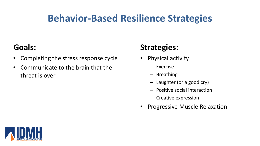## **Behavior-Based Resilience Strategies**

#### **Goals:**

- Completing the stress response cycle
- Communicate to the brain that the threat is over

#### **Strategies:**

- Physical activity
	- Exercise
	- Breathing
	- Laughter (or a good cry)
	- Positive social interaction
	- Creative expression
- Progressive Muscle Relaxation

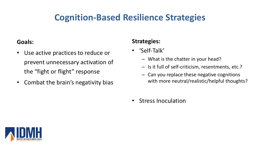#### **Cognition-Based Resilience Strategies**

#### **Goals:**

- Use active practices to reduce or prevent unnecessary activation of the "fight or flight" response
- Combat the brain's negativity bias

#### **Strategies:**

- 'Self-Talk'
	- What is the chatter in your head?
	- Is it full of self-criticism, resentments, etc.?
	- Can you replace these negative cognitions with more neutral/realistic/helpful thoughts?
- Stress Inoculation

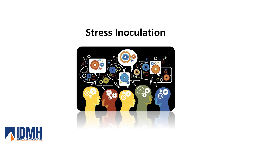#### **Stress Inoculation**



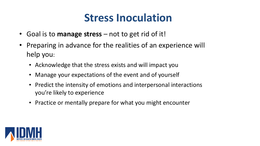# **Stress Inoculation**

- Goal is to **manage stress** not to get rid of it!
- Preparing in advance for the realities of an experience will help you:
	- Acknowledge that the stress exists and will impact you
	- Manage your expectations of the event and of yourself
	- Predict the intensity of emotions and interpersonal interactions you're likely to experience
	- Practice or mentally prepare for what you might encounter

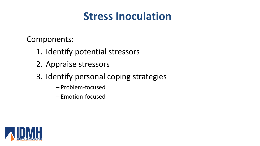# **Stress Inoculation**

Components:

- 1. Identify potential stressors
- 2. Appraise stressors
- 3. Identify personal coping strategies
	- Problem-focused
	- Emotion-focused

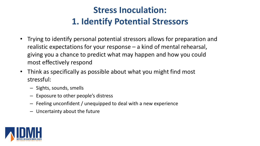### **Stress Inoculation: 1. Identify Potential Stressors**

- Trying to identify personal potential stressors allows for preparation and realistic expectations for your response – a kind of mental rehearsal, giving you a chance to predict what may happen and how you could most effectively respond
- Think as specifically as possible about what you might find most stressful:
	- Sights, sounds, smells
	- Exposure to other people's distress
	- Feeling unconfident / unequipped to deal with a new experience
	- Uncertainty about the future

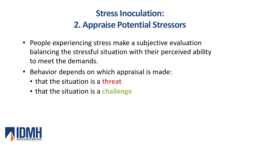- People experiencing stress make a subjective evaluation balancing the stressful situation with their perceived ability to meet the demands.
- Behavior depends on which appraisal is made:
	- that the situation is a **threat**
	- that the situation is a **challenge**

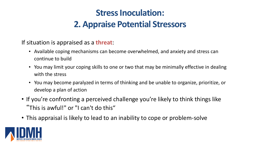If situation is appraised as a **threat**:

- Available coping mechanisms can become overwhelmed, and anxiety and stress can continue to build
- You may limit your coping skills to one or two that may be minimally effective in dealing with the stress
- You may become paralyzed in terms of thinking and be unable to organize, prioritize, or develop a plan of action
- If you're confronting a perceived challenge you're likely to think things like "This is awful!" or "I can't do this"
- This appraisal is likely to lead to an inability to cope or problem-solve

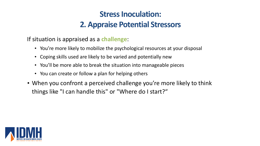If situation is appraised as a **challenge**:

- You're more likely to mobilize the psychological resources at your disposal
- Coping skills used are likely to be varied and potentially new
- You'll be more able to break the situation into manageable pieces
- You can create or follow a plan for helping others
- When you confront a perceived challenge you're more likely to think things like "I can handle this" or "Where do I start?"

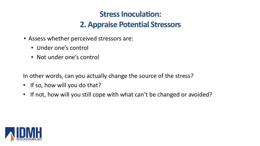- Assess whether perceived stressors are:
	- Under one's control
	- Not under one's control

In other words, can you actually change the source of the stress?

- If so, how will you do that?
- If not, how will you still cope with what can't be changed or avoided?

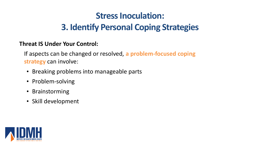### **Stress Inoculation: 3. Identify Personal Coping Strategies**

#### **Threat IS Under Your Control:**

If aspects can be changed or resolved, **a problem-focused coping strategy** can involve:

- Breaking problems into manageable parts
- Problem-solving
- Brainstorming
- Skill development

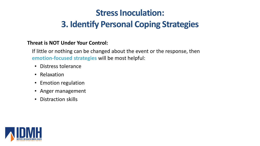### **Stress Inoculation: 3. Identify Personal Coping Strategies**

#### **Threat is NOT Under Your Control:**

If little or nothing can be changed about the event or the response, then **emotion-focused strategies** will be most helpful:

- Distress tolerance
- Relaxation
- Emotion regulation
- Anger management
- Distraction skills

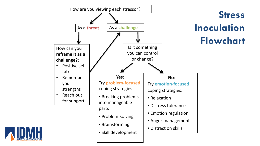